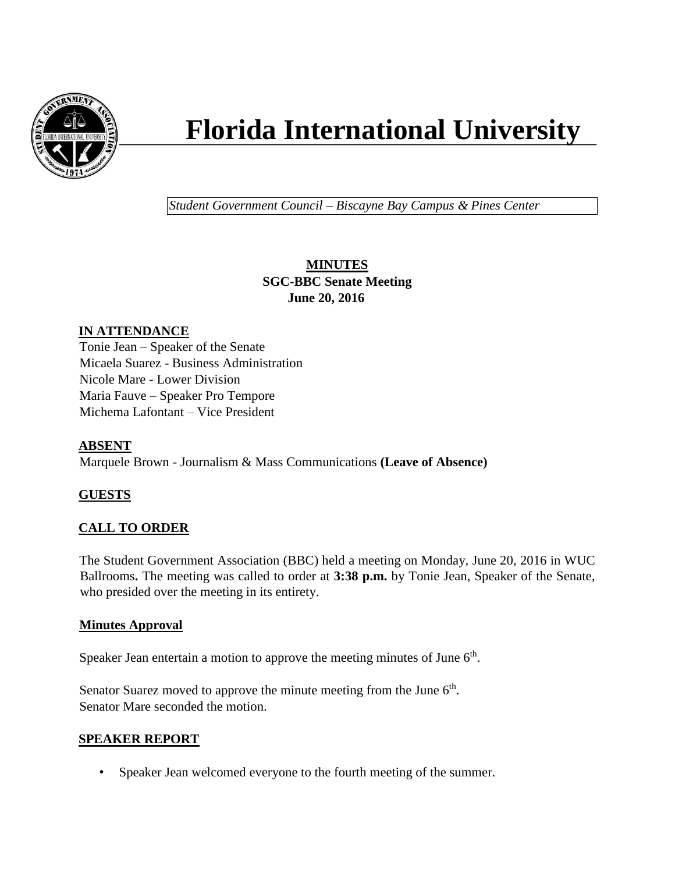

# **Florida International University**

*Student Government Council – Biscayne Bay Campus & Pines Center*

# **MINUTES SGC-BBC Senate Meeting June 20, 2016**

## **IN ATTENDANCE**

Tonie Jean – Speaker of the Senate Micaela Suarez - Business Administration Nicole Mare - Lower Division Maria Fauve – Speaker Pro Tempore Michema Lafontant – Vice President

## **ABSENT**

Marquele Brown - Journalism & Mass Communications **(Leave of Absence)**

# **GUESTS**

# **CALL TO ORDER**

The Student Government Association (BBC) held a meeting on Monday, June 20, 2016 in WUC Ballrooms**.** The meeting was called to order at **3:38 p.m.** by Tonie Jean, Speaker of the Senate, who presided over the meeting in its entirety.

## **Minutes Approval**

Speaker Jean entertain a motion to approve the meeting minutes of June  $6<sup>th</sup>$ .

Senator Suarez moved to approve the minute meeting from the June  $6<sup>th</sup>$ . Senator Mare seconded the motion.

## **SPEAKER REPORT**

• Speaker Jean welcomed everyone to the fourth meeting of the summer.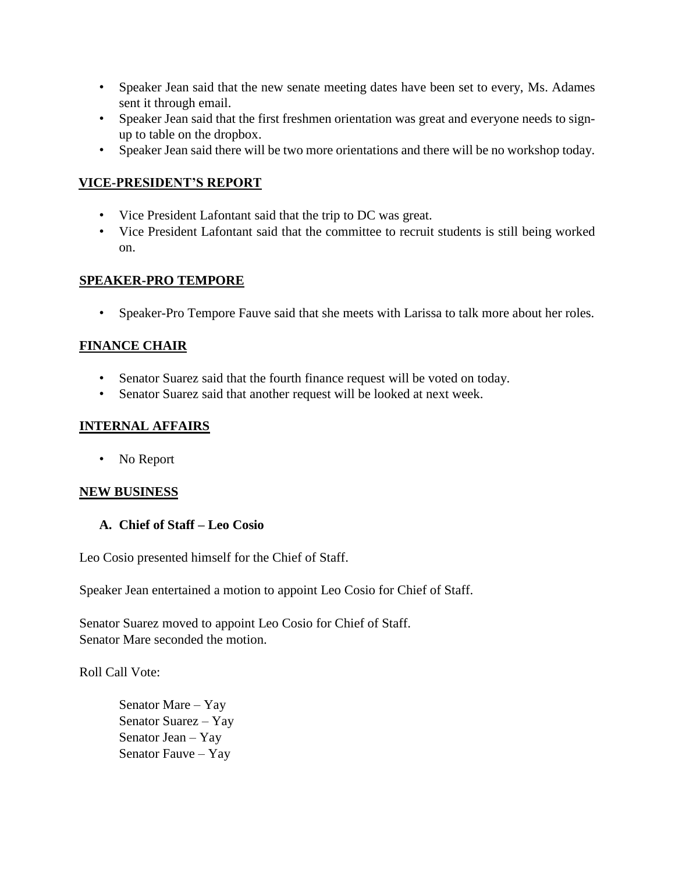- Speaker Jean said that the new senate meeting dates have been set to every, Ms. Adames sent it through email.
- Speaker Jean said that the first freshmen orientation was great and everyone needs to signup to table on the dropbox.
- Speaker Jean said there will be two more orientations and there will be no workshop today.

## **VICE-PRESIDENT'S REPORT**

- Vice President Lafontant said that the trip to DC was great.
- Vice President Lafontant said that the committee to recruit students is still being worked on.

## **SPEAKER-PRO TEMPORE**

• Speaker-Pro Tempore Fauve said that she meets with Larissa to talk more about her roles.

## **FINANCE CHAIR**

- Senator Suarez said that the fourth finance request will be voted on today.
- Senator Suarez said that another request will be looked at next week.

## **INTERNAL AFFAIRS**

• No Report

## **NEW BUSINESS**

## **A. Chief of Staff – Leo Cosio**

Leo Cosio presented himself for the Chief of Staff.

Speaker Jean entertained a motion to appoint Leo Cosio for Chief of Staff.

Senator Suarez moved to appoint Leo Cosio for Chief of Staff. Senator Mare seconded the motion.

Roll Call Vote:

Senator Mare – Yay Senator Suarez – Yay Senator Jean – Yay Senator Fauve – Yay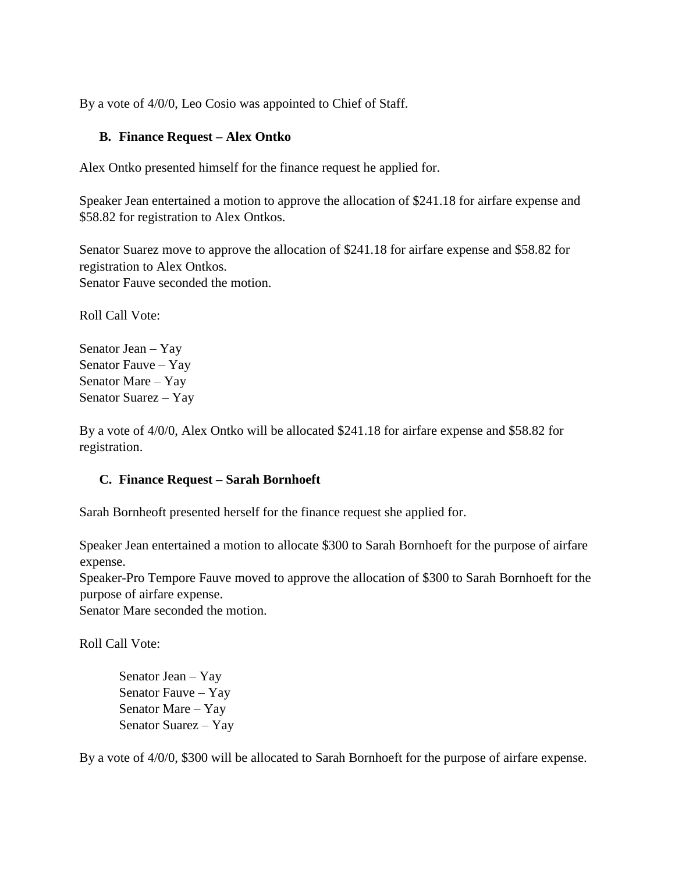By a vote of  $4/0/0$ , Leo Cosio was appointed to Chief of Staff.

## **B. Finance Request – Alex Ontko**

Alex Ontko presented himself for the finance request he applied for.

Speaker Jean entertained a motion to approve the allocation of \$241.18 for airfare expense and \$58.82 for registration to Alex Ontkos.

Senator Suarez move to approve the allocation of \$241.18 for airfare expense and \$58.82 for registration to Alex Ontkos. Senator Fauve seconded the motion.

Roll Call Vote:

Senator Jean – Yay Senator Fauve – Yay Senator Mare – Yay Senator Suarez – Yay

By a vote of 4/0/0, Alex Ontko will be allocated \$241.18 for airfare expense and \$58.82 for registration.

## **C. Finance Request – Sarah Bornhoeft**

Sarah Bornheoft presented herself for the finance request she applied for.

Speaker Jean entertained a motion to allocate \$300 to Sarah Bornhoeft for the purpose of airfare expense.

Speaker-Pro Tempore Fauve moved to approve the allocation of \$300 to Sarah Bornhoeft for the purpose of airfare expense.

Senator Mare seconded the motion.

Roll Call Vote:

Senator Jean – Yay Senator Fauve – Yay Senator Mare – Yay Senator Suarez – Yay

By a vote of 4/0/0, \$300 will be allocated to Sarah Bornhoeft for the purpose of airfare expense.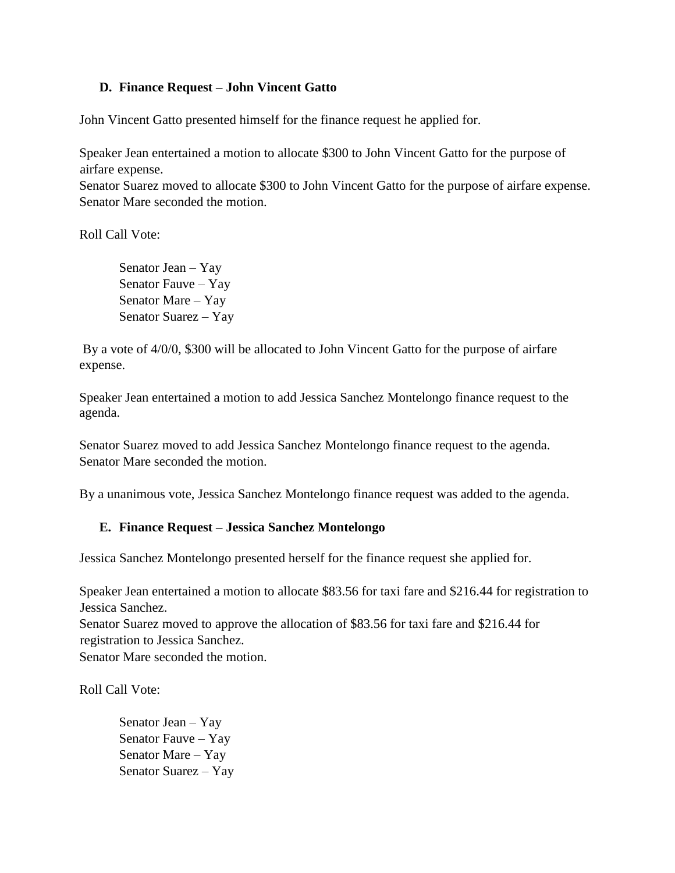## **D. Finance Request – John Vincent Gatto**

John Vincent Gatto presented himself for the finance request he applied for.

Speaker Jean entertained a motion to allocate \$300 to John Vincent Gatto for the purpose of airfare expense.

Senator Suarez moved to allocate \$300 to John Vincent Gatto for the purpose of airfare expense. Senator Mare seconded the motion.

Roll Call Vote:

Senator Jean – Yay Senator Fauve – Yay Senator Mare – Yay Senator Suarez – Yay

By a vote of 4/0/0, \$300 will be allocated to John Vincent Gatto for the purpose of airfare expense.

Speaker Jean entertained a motion to add Jessica Sanchez Montelongo finance request to the agenda.

Senator Suarez moved to add Jessica Sanchez Montelongo finance request to the agenda. Senator Mare seconded the motion.

By a unanimous vote, Jessica Sanchez Montelongo finance request was added to the agenda.

## **E. Finance Request – Jessica Sanchez Montelongo**

Jessica Sanchez Montelongo presented herself for the finance request she applied for.

Speaker Jean entertained a motion to allocate \$83.56 for taxi fare and \$216.44 for registration to Jessica Sanchez.

Senator Suarez moved to approve the allocation of \$83.56 for taxi fare and \$216.44 for registration to Jessica Sanchez.

Senator Mare seconded the motion.

Roll Call Vote:

Senator Jean – Yay Senator Fauve – Yay Senator Mare – Yay Senator Suarez – Yay